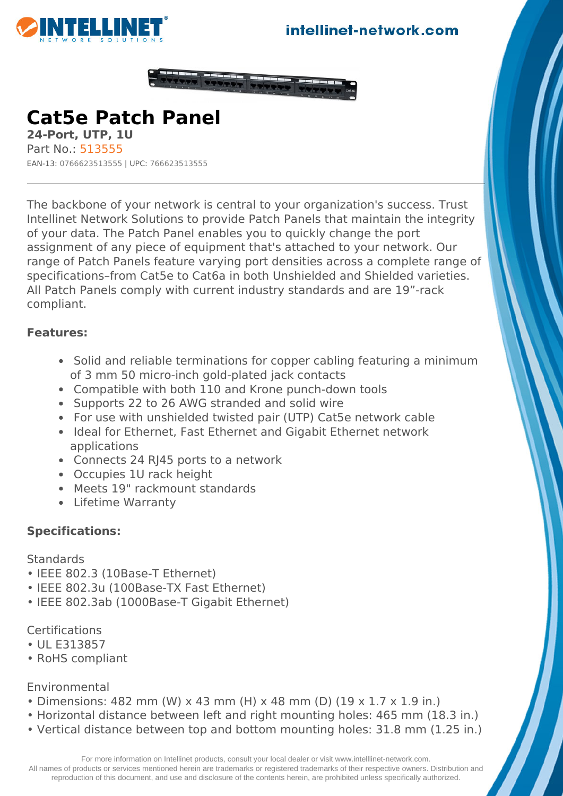





**Cat5e Patch Panel 24-Port, UTP, 1U** Part No.: 513555

EAN-13: 0766623513555 | UPC: 766623513555

The backbone of your network is central to your organization's success. Trust Intellinet Network Solutions to provide Patch Panels that maintain the integrity of your data. The Patch Panel enables you to quickly change the port assignment of any piece of equipment that's attached to your network. Our range of Patch Panels feature varying port densities across a complete range of specifications–from Cat5e to Cat6a in both Unshielded and Shielded varieties. All Patch Panels comply with current industry standards and are 19"-rack compliant.

## **Features:**

- Solid and reliable terminations for copper cabling featuring a minimum of 3 mm 50 micro-inch gold-plated jack contacts
- Compatible with both 110 and Krone punch-down tools
- Supports 22 to 26 AWG stranded and solid wire
- For use with unshielded twisted pair (UTP) Cat5e network cable
- Ideal for Ethernet, Fast Ethernet and Gigabit Ethernet network applications
- Connects 24 RJ45 ports to a network
- Occupies 1U rack height
- Meets 19" rackmount standards
- Lifetime Warranty

## **Specifications:**

**Standards** 

- IEEE 802.3 (10Base-T Ethernet)
- IEEE 802.3u (100Base-TX Fast Ethernet)
- IEEE 802.3ab (1000Base-T Gigabit Ethernet)

**Certifications** 

- UL E313857
- RoHS compliant

Environmental

- Dimensions: 482 mm (W) x 43 mm (H) x 48 mm (D) (19 x 1.7 x 1.9 in.)
- Horizontal distance between left and right mounting holes: 465 mm (18.3 in.)
- Vertical distance between top and bottom mounting holes: 31.8 mm (1.25 in.)